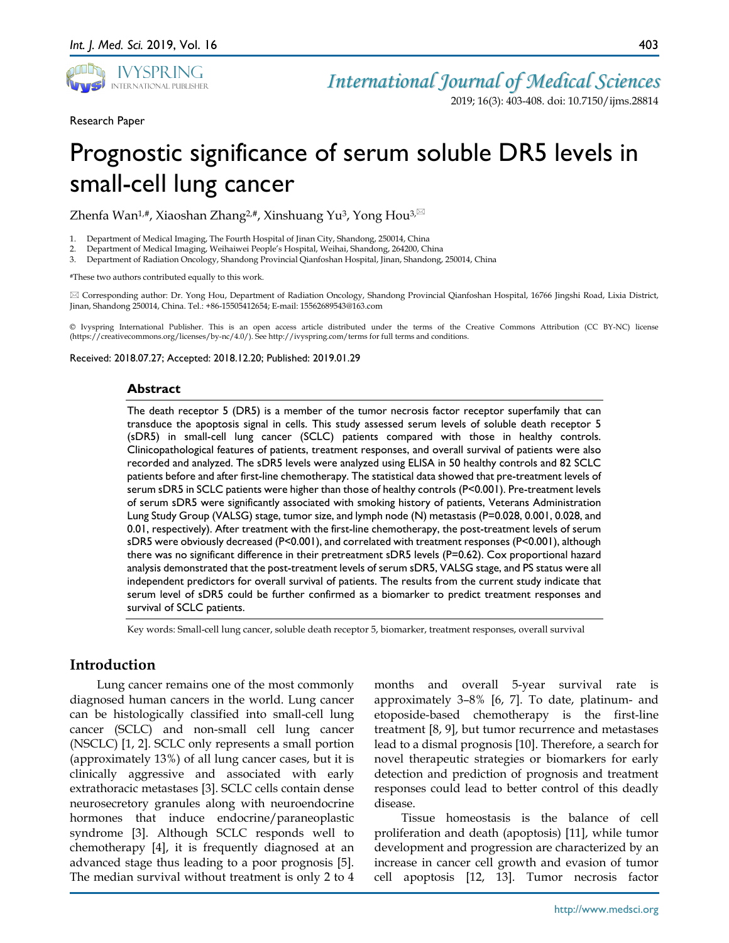

*International Journal of Medical Sciences*

2019; 16(3): 403-408. doi: 10.7150/ijms.28814

Research Paper

# Prognostic significance of serum soluble DR5 levels in small-cell lung cancer

Zhenfa Wan<sup>1,#</sup>, Xiaoshan Zhang<sup>2,#</sup>, Xinshuang Yu<sup>3</sup>, Yong Hou<sup>3,⊠</sup>

1. Department of Medical Imaging, The Fourth Hospital of Jinan City, Shandong, 250014, China

2. Department of Medical Imaging, Weihaiwei People's Hospital, Weihai, Shandong, 264200, China

3. Department of Radiation Oncology, Shandong Provincial Qianfoshan Hospital, Jinan, Shandong, 250014, China

#These two authors contributed equally to this work.

 Corresponding author: Dr. Yong Hou, Department of Radiation Oncology, Shandong Provincial Qianfoshan Hospital, 16766 Jingshi Road, Lixia District, Jinan, Shandong 250014, China. Tel.: +86-15505412654; E-mail: 15562689543@163.com

© Ivyspring International Publisher. This is an open access article distributed under the terms of the Creative Commons Attribution (CC BY-NC) license (https://creativecommons.org/licenses/by-nc/4.0/). See http://ivyspring.com/terms for full terms and conditions.

Received: 2018.07.27; Accepted: 2018.12.20; Published: 2019.01.29

#### **Abstract**

The death receptor 5 (DR5) is a member of the tumor necrosis factor receptor superfamily that can transduce the apoptosis signal in cells. This study assessed serum levels of soluble death receptor 5 (sDR5) in small-cell lung cancer (SCLC) patients compared with those in healthy controls. Clinicopathological features of patients, treatment responses, and overall survival of patients were also recorded and analyzed. The sDR5 levels were analyzed using ELISA in 50 healthy controls and 82 SCLC patients before and after first-line chemotherapy. The statistical data showed that pre-treatment levels of serum sDR5 in SCLC patients were higher than those of healthy controls (P<0.001). Pre-treatment levels of serum sDR5 were significantly associated with smoking history of patients, Veterans Administration Lung Study Group (VALSG) stage, tumor size, and lymph node (N) metastasis (P=0.028, 0.001, 0.028, and 0.01, respectively). After treatment with the first-line chemotherapy, the post-treatment levels of serum sDR5 were obviously decreased (P<0.001), and correlated with treatment responses (P<0.001), although there was no significant difference in their pretreatment sDR5 levels (P=0.62). Cox proportional hazard analysis demonstrated that the post-treatment levels of serum sDR5, VALSG stage, and PS status were all independent predictors for overall survival of patients. The results from the current study indicate that serum level of sDR5 could be further confirmed as a biomarker to predict treatment responses and survival of SCLC patients.

Key words: Small-cell lung cancer, soluble death receptor 5, biomarker, treatment responses, overall survival

## **Introduction**

Lung cancer remains one of the most commonly diagnosed human cancers in the world. Lung cancer can be histologically classified into small-cell lung cancer (SCLC) and non-small cell lung cancer (NSCLC) [1, 2]. SCLC only represents a small portion (approximately 13%) of all lung cancer cases, but it is clinically aggressive and associated with early extrathoracic metastases [3]. SCLC cells contain dense neurosecretory granules along with neuroendocrine hormones that induce endocrine/paraneoplastic syndrome [3]. Although SCLC responds well to chemotherapy [4], it is frequently diagnosed at an advanced stage thus leading to a poor prognosis [5]. The median survival without treatment is only 2 to 4

months and overall 5-year survival rate is approximately 3–8% [6, 7]. To date, platinum- and etoposide-based chemotherapy is the first-line treatment [8, 9], but tumor recurrence and metastases lead to a dismal prognosis [10]. Therefore, a search for novel therapeutic strategies or biomarkers for early detection and prediction of prognosis and treatment responses could lead to better control of this deadly disease.

Tissue homeostasis is the balance of cell proliferation and death (apoptosis) [11], while tumor development and progression are characterized by an increase in cancer cell growth and evasion of tumor cell apoptosis [12, 13]. Tumor necrosis factor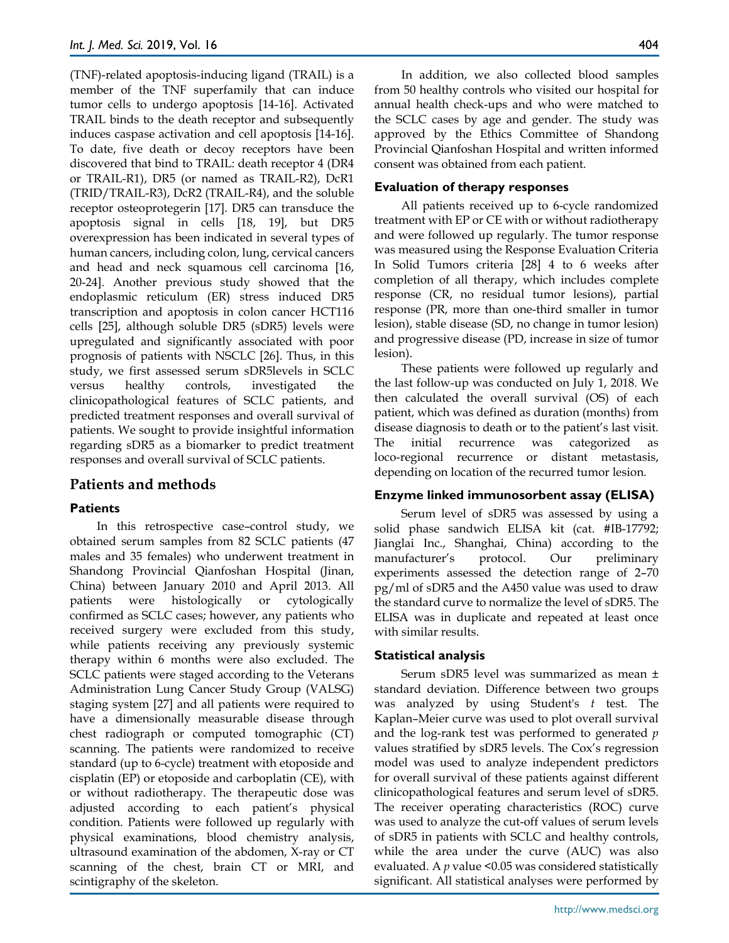(TNF)-related apoptosis-inducing ligand (TRAIL) is a member of the TNF superfamily that can induce tumor cells to undergo apoptosis [14-16]. Activated TRAIL binds to the death receptor and subsequently induces caspase activation and cell apoptosis [14-16]. To date, five death or decoy receptors have been discovered that bind to TRAIL: death receptor 4 (DR4 or TRAIL-R1), DR5 (or named as TRAIL-R2), DcR1 (TRID/TRAIL-R3), DcR2 (TRAIL-R4), and the soluble receptor osteoprotegerin [17]. DR5 can transduce the apoptosis signal in cells [18, 19], but DR5 overexpression has been indicated in several types of human cancers, including colon, lung, cervical cancers and head and neck squamous cell carcinoma [16, 20-24]. Another previous study showed that the endoplasmic reticulum (ER) stress induced DR5 transcription and apoptosis in colon cancer HCT116 cells [25], although soluble DR5 (sDR5) levels were upregulated and significantly associated with poor prognosis of patients with NSCLC [26]. Thus, in this study, we first assessed serum sDR5levels in SCLC versus healthy controls, investigated the clinicopathological features of SCLC patients, and predicted treatment responses and overall survival of patients. We sought to provide insightful information regarding sDR5 as a biomarker to predict treatment responses and overall survival of SCLC patients.

## **Patients and methods**

## **Patients**

In this retrospective case–control study, we obtained serum samples from 82 SCLC patients (47 males and 35 females) who underwent treatment in Shandong Provincial Qianfoshan Hospital (Jinan, China) between January 2010 and April 2013. All patients were histologically or cytologically confirmed as SCLC cases; however, any patients who received surgery were excluded from this study, while patients receiving any previously systemic therapy within 6 months were also excluded. The SCLC patients were staged according to the Veterans Administration Lung Cancer Study Group (VALSG) staging system [27] and all patients were required to have a dimensionally measurable disease through chest radiograph or computed tomographic (CT) scanning. The patients were randomized to receive standard (up to 6-cycle) treatment with etoposide and cisplatin (EP) or etoposide and carboplatin (CE), with or without radiotherapy. The therapeutic dose was adjusted according to each patient's physical condition. Patients were followed up regularly with physical examinations, blood chemistry analysis, ultrasound examination of the abdomen, X-ray or CT scanning of the chest, brain CT or MRI, and scintigraphy of the skeleton.

In addition, we also collected blood samples from 50 healthy controls who visited our hospital for annual health check-ups and who were matched to the SCLC cases by age and gender. The study was approved by the Ethics Committee of Shandong Provincial Qianfoshan Hospital and written informed consent was obtained from each patient.

## **Evaluation of therapy responses**

All patients received up to 6-cycle randomized treatment with EP or CE with or without radiotherapy and were followed up regularly. The tumor response was measured using the Response Evaluation Criteria In Solid Tumors criteria [28] 4 to 6 weeks after completion of all therapy, which includes complete response (CR, no residual tumor lesions), partial response (PR, more than one-third smaller in tumor lesion), stable disease (SD, no change in tumor lesion) and progressive disease (PD, increase in size of tumor lesion).

These patients were followed up regularly and the last follow-up was conducted on July 1, 2018. We then calculated the overall survival (OS) of each patient, which was defined as duration (months) from disease diagnosis to death or to the patient's last visit. The initial recurrence was categorized as loco-regional recurrence or distant metastasis, depending on location of the recurred tumor lesion.

## **Enzyme linked immunosorbent assay (ELISA)**

Serum level of sDR5 was assessed by using a solid phase sandwich ELISA kit (cat. #IB-17792; Jianglai Inc., Shanghai, China) according to the manufacturer's protocol. Our preliminary experiments assessed the detection range of 2–70 pg/ml of sDR5 and the A450 value was used to draw the standard curve to normalize the level of sDR5. The ELISA was in duplicate and repeated at least once with similar results.

## **Statistical analysis**

Serum sDR5 level was summarized as mean ± standard deviation. Difference between two groups was analyzed by using Student's *t* test. The Kaplan–Meier curve was used to plot overall survival and the log-rank test was performed to generated *p* values stratified by sDR5 levels. The Cox's regression model was used to analyze independent predictors for overall survival of these patients against different clinicopathological features and serum level of sDR5. The receiver operating characteristics (ROC) curve was used to analyze the cut-off values of serum levels of sDR5 in patients with SCLC and healthy controls, while the area under the curve (AUC) was also evaluated. A *p* value <0.05 was considered statistically significant. All statistical analyses were performed by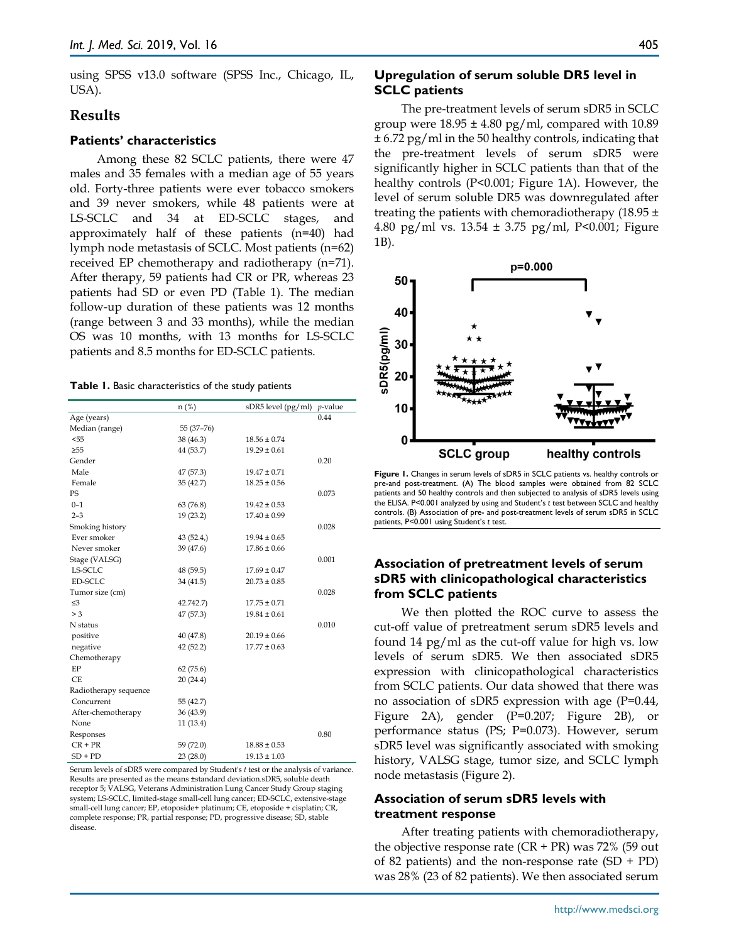using SPSS v13.0 software (SPSS Inc., Chicago, IL, USA).

## **Results**

#### **Patients' characteristics**

Among these 82 SCLC patients, there were 47 males and 35 females with a median age of 55 years old. Forty-three patients were ever tobacco smokers and 39 never smokers, while 48 patients were at LS-SCLC and 34 at ED-SCLC stages, and approximately half of these patients (n=40) had lymph node metastasis of SCLC. Most patients (n=62) received EP chemotherapy and radiotherapy (n=71). After therapy, 59 patients had CR or PR, whereas 23 patients had SD or even PD (Table 1). The median follow-up duration of these patients was 12 months (range between 3 and 33 months), while the median OS was 10 months, with 13 months for LS-SCLC patients and 8.5 months for ED-SCLC patients.

|                       | $n$ (%)    | sDR5 level (pg/ml) | $p$ -value |  |
|-----------------------|------------|--------------------|------------|--|
| Age (years)           |            |                    | 0.44       |  |
| Median (range)        | 55 (37-76) |                    |            |  |
| $<$ 55                | 38 (46.3)  | $18.56 \pm 0.74$   |            |  |
| $\geq 55$             | 44 (53.7)  | $19.29 \pm 0.61$   |            |  |
| Gender                |            |                    | 0.20       |  |
| Male                  | 47 (57.3)  | $19.47 \pm 0.71$   |            |  |
| Female                | 35(42.7)   | $18.25 \pm 0.56$   |            |  |
| PS                    |            |                    | 0.073      |  |
| $0 - 1$               | 63 (76.8)  | $19.42 \pm 0.53$   |            |  |
| $2 - 3$               | 19 (23.2)  | $17.40 \pm 0.99$   |            |  |
| Smoking history       |            |                    | 0.028      |  |
| Ever smoker           | 43(52.4)   | $19.94 \pm 0.65$   |            |  |
| Never smoker          | 39 (47.6)  | $17.86 \pm 0.66$   |            |  |
| Stage (VALSG)         |            |                    | 0.001      |  |
| LS-SCLC               | 48 (59.5)  | $17.69 \pm 0.47$   |            |  |
| ED-SCLC               | 34 (41.5)  | $20.73 \pm 0.85$   |            |  |
| Tumor size (cm)       |            |                    | 0.028      |  |
| $\leq$ 3              | 42.742.7)  | $17.75 \pm 0.71$   |            |  |
| > 3                   | 47 (57.3)  | $19.84 \pm 0.61$   |            |  |
| N status              |            |                    | 0.010      |  |
| positive              | 40 (47.8)  | $20.19 \pm 0.66$   |            |  |
| negative              | 42 (52.2)  | $17.77 \pm 0.63$   |            |  |
| Chemotherapy          |            |                    |            |  |
| EP                    | 62(75.6)   |                    |            |  |
| <b>CE</b>             | 20(24.4)   |                    |            |  |
| Radiotherapy sequence |            |                    |            |  |
| Concurrent            | 55 (42.7)  |                    |            |  |
| After-chemotherapy    | 36 (43.9)  |                    |            |  |
| None                  | 11 (13.4)  |                    |            |  |
| Responses             |            |                    | 0.80       |  |
| $CR + PR$             | 59 (72.0)  | $18.88 \pm 0.53$   |            |  |
| $SD + PD$             | 23(28.0)   | $19.13 \pm 1.03$   |            |  |

Serum levels of sDR5 were compared by Student's *t* test or the analysis of variance. Results are presented as the means ±standard deviation.sDR5, soluble death receptor 5; VALSG, Veterans Administration Lung Cancer Study Group staging system; LS-SCLC, limited-stage small-cell lung cancer; ED-SCLC, extensive-stage small-cell lung cancer; EP, etoposide+ platinum; CE, etoposide + cisplatin; CR, complete response; PR, partial response; PD, progressive disease; SD, stable disease.

#### **Upregulation of serum soluble DR5 level in SCLC patients**

The pre-treatment levels of serum sDR5 in SCLC group were  $18.95 \pm 4.80$  pg/ml, compared with  $10.89$ ± 6.72 pg/ml in the 50 healthy controls, indicating that the pre-treatment levels of serum sDR5 were significantly higher in SCLC patients than that of the healthy controls (P<0.001; Figure 1A). However, the level of serum soluble DR5 was downregulated after treating the patients with chemoradiotherapy (18.95  $\pm$ 4.80 pg/ml vs. 13.54 ± 3.75 pg/ml, P<0.001; Figure 1B).



**Figure 1.** Changes in serum levels of sDR5 in SCLC patients vs. healthy controls or pre-and post-treatment. (A) The blood samples were obtained from 82 SCLC patients and 50 healthy controls and then subjected to analysis of sDR5 levels using the ELISA. P<0.001 analyzed by using and Student's *t* test between SCLC and healthy controls. (B) Association of pre- and post-treatment levels of serum sDR5 in SCLC patients, P<0.001 using Student's *t* test.

## **Association of pretreatment levels of serum sDR5 with clinicopathological characteristics from SCLC patients**

We then plotted the ROC curve to assess the cut-off value of pretreatment serum sDR5 levels and found 14 pg/ml as the cut-off value for high vs. low levels of serum sDR5. We then associated sDR5 expression with clinicopathological characteristics from SCLC patients. Our data showed that there was no association of sDR5 expression with age (P=0.44, Figure 2A), gender (P=0.207; Figure 2B), or performance status (PS; P=0.073). However, serum sDR5 level was significantly associated with smoking history, VALSG stage, tumor size, and SCLC lymph node metastasis (Figure 2).

#### **Association of serum sDR5 levels with treatment response**

After treating patients with chemoradiotherapy, the objective response rate  $(CR + PR)$  was 72% (59 out of 82 patients) and the non-response rate  $(SD + PD)$ was 28% (23 of 82 patients). We then associated serum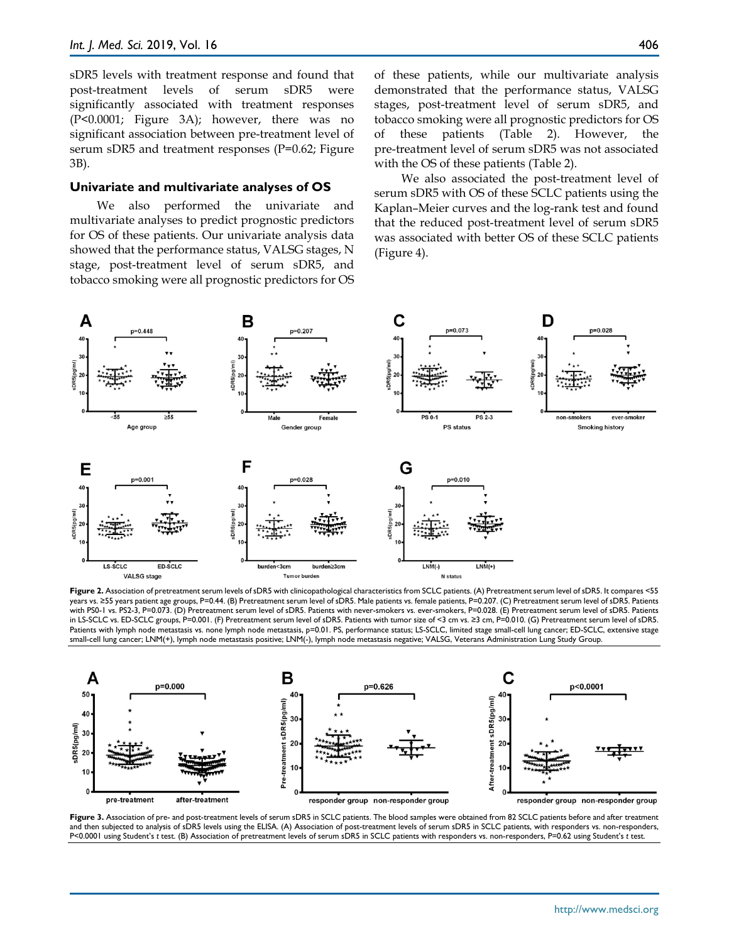sDR5 levels with treatment response and found that post-treatment levels of serum sDR5 were significantly associated with treatment responses (P<0.0001; Figure 3A); however, there was no significant association between pre-treatment level of serum sDR5 and treatment responses (P=0.62; Figure 3B).

#### **Univariate and multivariate analyses of OS**

We also performed the univariate and multivariate analyses to predict prognostic predictors for OS of these patients. Our univariate analysis data showed that the performance status, VALSG stages, N stage, post-treatment level of serum sDR5, and tobacco smoking were all prognostic predictors for OS of these patients, while our multivariate analysis demonstrated that the performance status, VALSG stages, post-treatment level of serum sDR5, and tobacco smoking were all prognostic predictors for OS of these patients (Table 2). However, the pre-treatment level of serum sDR5 was not associated with the OS of these patients (Table 2).

We also associated the post-treatment level of serum sDR5 with OS of these SCLC patients using the Kaplan–Meier curves and the log-rank test and found that the reduced post-treatment level of serum sDR5 was associated with better OS of these SCLC patients (Figure 4).



**Figure 2.** Association of pretreatment serum levels of sDR5 with clinicopathological characteristics from SCLC patients. (A) Pretreatment serum level of sDR5. It compares <55 years vs. ≥55 years patient age groups, P=0.44. (B) Pretreatment serum level of sDR5. Male patients vs. female patients, P=0.207. (C) Pretreatment serum level of sDR5. Patients with PS0-1 vs. PS2-3, P=0.073. (D) Pretreatment serum level of sDR5. Patients with never-smokers vs. ever-smokers, P=0.028. (E) Pretreatment serum level of sDR5. Patients in LS-SCLC vs. ED-SCLC groups, P=0.001. (F) Pretreatment serum level of sDR5. Patients with tumor size of <3 cm vs. ≥3 cm, P=0.010. (G) Pretreatment serum level of sDR5. Patients with lymph node metastasis vs. none lymph node metastasis, p=0.01. PS, performance status; LS-SCLC, limited stage small-cell lung cancer; ED-SCLC, extensive stage small-cell lung cancer; LNM(+), lymph node metastasis positive; LNM(-), lymph node metastasis negative; VALSG, Veterans Administration Lung Study Group.



**Figure 3.** Association of pre- and post-treatment levels of serum sDR5 in SCLC patients. The blood samples were obtained from 82 SCLC patients before and after treatment and then subjected to analysis of sDR5 levels using the ELISA. (A) Association of post-treatment levels of serum sDR5 in SCLC patients, with responders vs. non-responders, P<0.0001 using Student's *t* test. (B) Association of pretreatment levels of serum sDR5 in SCLC patients with responders vs. non-responders, P=0.62 using Student's *t* test.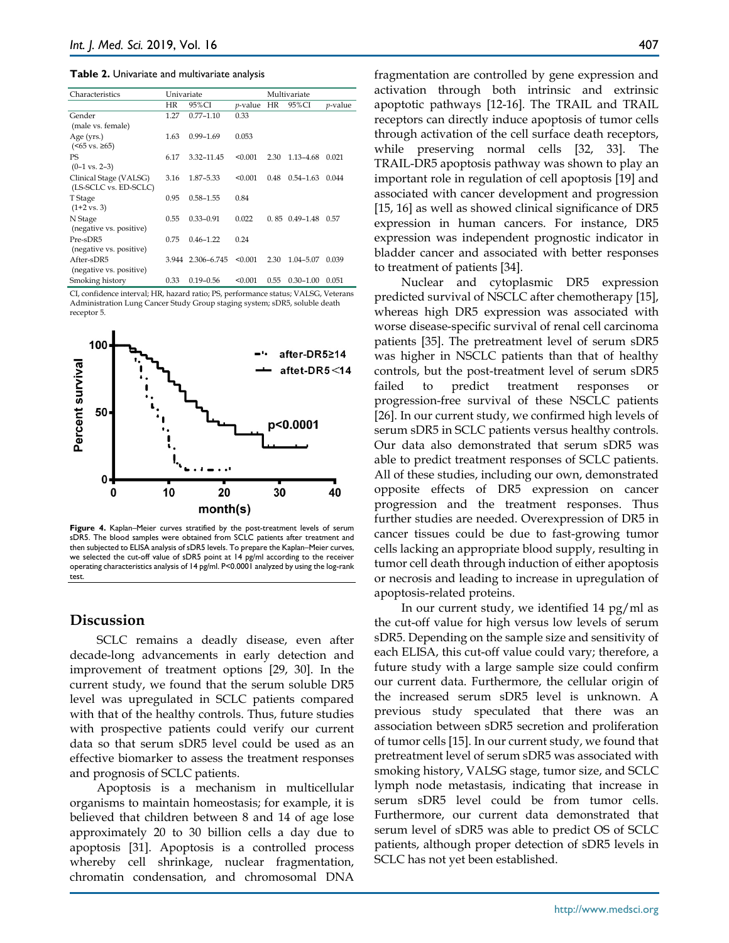**Table 2.** Univariate and multivariate analysis

| Characteristics          | Univariate |               |                 | Multivariate |               |                 |
|--------------------------|------------|---------------|-----------------|--------------|---------------|-----------------|
|                          | HR         | 95%CI         | <i>p</i> -value | HR           | 95%CI         | <i>p</i> -value |
| Gender                   | 1.27       | $0.77 - 1.10$ | 0.33            |              |               |                 |
| (male vs. female)        |            |               |                 |              |               |                 |
| Age (yrs.)               | 1.63       | $0.99 - 1.69$ | 0.053           |              |               |                 |
| $(≤65$ vs. ≥65)          |            |               |                 |              |               |                 |
| PS                       | 6.17       | 3.32-11.45    | < 0.001         | 2.30         | 1.13-4.68     | 0.021           |
| $(0-1 \text{ vs. } 2-3)$ |            |               |                 |              |               |                 |
| Clinical Stage (VALSG)   | 3.16       | 1.87-5.33     | < 0.001         | 0.48         | $0.54 - 1.63$ | 0.044           |
| (LS-SCLC vs. ED-SCLC)    |            |               |                 |              |               |                 |
| T Stage                  | 0.95       | $0.58 - 1.55$ | 0.84            |              |               |                 |
| $(1+2 \text{ vs. } 3)$   |            |               |                 |              |               |                 |
| N Stage                  | 0.55       | $0.33 - 0.91$ | 0.022           | 0.85         | $0.49 - 1.48$ | 0.57            |
| (negative vs. positive)  |            |               |                 |              |               |                 |
| Pre-sDR5                 | 0.75       | $0.46 - 1.22$ | 0.24            |              |               |                 |
| (negative vs. positive)  |            |               |                 |              |               |                 |
| After-sDR5               | 3.944      | 2.306-6.745   | < 0.001         | 2.30         | $1.04 - 5.07$ | 0.039           |
| (negative vs. positive)  |            |               |                 |              |               |                 |
| Smoking history          | 0.33       | $0.19 - 0.56$ | < 0.001         | 0.55         | $0.30 - 1.00$ | 0.051           |

CI, confidence interval; HR, hazard ratio; PS, performance status; VALSG, Veterans Administration Lung Cancer Study Group staging system; sDR5, soluble death receptor 5.



Figure 4. Kaplan–Meier curves stratified by the post-treatment levels of serum sDR5. The blood samples were obtained from SCLC patients after treatment and then subjected to ELISA analysis of sDR5 levels. To prepare the Kaplan–Meier curves, we selected the cut-off value of sDR5 point at 14 pg/ml according to the receiver operating characteristics analysis of 14 pg/ml. P<0.0001 analyzed by using the log-rank test.

## **Discussion**

SCLC remains a deadly disease, even after decade-long advancements in early detection and improvement of treatment options [29, 30]. In the current study, we found that the serum soluble DR5 level was upregulated in SCLC patients compared with that of the healthy controls. Thus, future studies with prospective patients could verify our current data so that serum sDR5 level could be used as an effective biomarker to assess the treatment responses and prognosis of SCLC patients.

Apoptosis is a mechanism in multicellular organisms to maintain homeostasis; for example, it is believed that children between 8 and 14 of age lose approximately 20 to 30 billion cells a day due to apoptosis [31]. Apoptosis is a controlled process whereby cell shrinkage, nuclear fragmentation, chromatin condensation, and chromosomal DNA

fragmentation are controlled by gene expression and activation through both intrinsic and extrinsic apoptotic pathways [12-16]*.* The TRAIL and TRAIL receptors can directly induce apoptosis of tumor cells through activation of the cell surface death receptors, while preserving normal cells [32, 33]. The TRAIL-DR5 apoptosis pathway was shown to play an important role in regulation of cell apoptosis [19] and associated with cancer development and progression [15, 16] as well as showed clinical significance of DR5 expression in human cancers. For instance, DR5 expression was independent prognostic indicator in bladder cancer and associated with better responses to treatment of patients [34].

Nuclear and cytoplasmic DR5 expression predicted survival of NSCLC after chemotherapy [15], whereas high DR5 expression was associated with worse disease-specific survival of renal cell carcinoma patients [35]. The pretreatment level of serum sDR5 was higher in NSCLC patients than that of healthy controls, but the post-treatment level of serum sDR5 failed to predict treatment responses progression-free survival of these NSCLC patients [26]. In our current study, we confirmed high levels of serum sDR5 in SCLC patients versus healthy controls. Our data also demonstrated that serum sDR5 was able to predict treatment responses of SCLC patients. All of these studies, including our own, demonstrated opposite effects of DR5 expression on cancer progression and the treatment responses. Thus further studies are needed. Overexpression of DR5 in cancer tissues could be due to fast-growing tumor cells lacking an appropriate blood supply, resulting in tumor cell death through induction of either apoptosis or necrosis and leading to increase in upregulation of apoptosis-related proteins.

In our current study, we identified 14 pg/ml as the cut-off value for high versus low levels of serum sDR5. Depending on the sample size and sensitivity of each ELISA, this cut-off value could vary; therefore, a future study with a large sample size could confirm our current data. Furthermore, the cellular origin of the increased serum sDR5 level is unknown. A previous study speculated that there was an association between sDR5 secretion and proliferation of tumor cells [15]. In our current study, we found that pretreatment level of serum sDR5 was associated with smoking history, VALSG stage, tumor size, and SCLC lymph node metastasis, indicating that increase in serum sDR5 level could be from tumor cells. Furthermore, our current data demonstrated that serum level of sDR5 was able to predict OS of SCLC patients, although proper detection of sDR5 levels in SCLC has not yet been established.